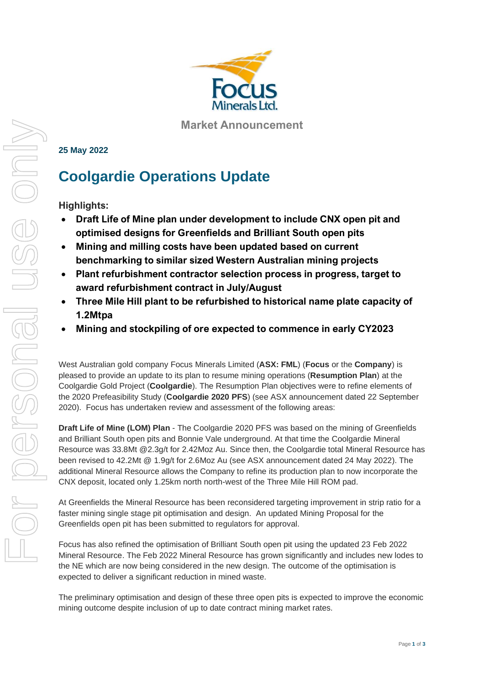

**Market Announcement**

## **25 May 2022**

# **Coolgardie Operations Update**

**Highlights:**

- **Draft Life of Mine plan under development to include CNX open pit and optimised designs for Greenfields and Brilliant South open pits**
- **Mining and milling costs have been updated based on current benchmarking to similar sized Western Australian mining projects**
- **Plant refurbishment contractor selection process in progress, target to award refurbishment contract in July/August**
- **Three Mile Hill plant to be refurbished to historical name plate capacity of 1.2Mtpa**
- **Mining and stockpiling of ore expected to commence in early CY2023**

West Australian gold company Focus Minerals Limited (**ASX: FML**) (**Focus** or the **Company**) is pleased to provide an update to its plan to resume mining operations (**Resumption Plan**) at the Coolgardie Gold Project (**Coolgardie**). The Resumption Plan objectives were to refine elements of the 2020 Prefeasibility Study (**Coolgardie 2020 PFS**) (see ASX announcement dated 22 September 2020). Focus has undertaken review and assessment of the following areas:

**Draft Life of Mine (LOM) Plan** - The Coolgardie 2020 PFS was based on the mining of Greenfields and Brilliant South open pits and Bonnie Vale underground. At that time the Coolgardie Mineral Resource was 33.8Mt @2.3g/t for 2.42Moz Au. Since then, the Coolgardie total Mineral Resource has been revised to 42.2Mt @ 1.9g/t for 2.6Moz Au (see ASX announcement dated 24 May 2022). The additional Mineral Resource allows the Company to refine its production plan to now incorporate the CNX deposit, located only 1.25km north north-west of the Three Mile Hill ROM pad.

At Greenfields the Mineral Resource has been reconsidered targeting improvement in strip ratio for a faster mining single stage pit optimisation and design. An updated Mining Proposal for the Greenfields open pit has been submitted to regulators for approval.

Focus has also refined the optimisation of Brilliant South open pit using the updated 23 Feb 2022 Mineral Resource. The Feb 2022 Mineral Resource has grown significantly and includes new lodes to the NE which are now being considered in the new design. The outcome of the optimisation is expected to deliver a significant reduction in mined waste.

The preliminary optimisation and design of these three open pits is expected to improve the economic mining outcome despite inclusion of up to date contract mining market rates.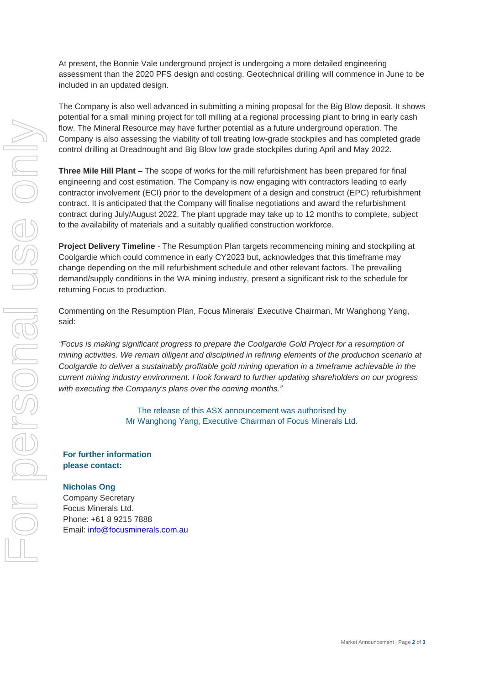At present, the Bonnie Vale underground project is undergoing a more detailed engineering assessment than the 2020 PFS design and costing. Geotechnical drilling will commence in June to be included in an updated design.

The Company is also well advanced in submitting a mining proposal for the Big Blow deposit. It shows potential for a small mining project for toll milling at a regional processing plant to bring in early cash flow. The Mineral Resource may have further potential as a future underground operation. The Company is also assessing the viability of toll treating low-grade stockpiles and has completed grade control drilling at Dreadnought and Big Blow low grade stockpiles during April and May 2022.

**Three Mile Hill Plant** – The scope of works for the mill refurbishment has been prepared for final engineering and cost estimation. The Company is now engaging with contractors leading to early contractor involvement (ECI) prior to the development of a design and construct (EPC) refurbishment contract. It is anticipated that the Company will finalise negotiations and award the refurbishment contract during July/August 2022. The plant upgrade may take up to 12 months to complete, subject to the availability of materials and a suitably qualified construction workforce.

**Project Delivery Timeline** - The Resumption Plan targets recommencing mining and stockpiling at Coolgardie which could commence in early CY2023 but, acknowledges that this timeframe may change depending on the mill refurbishment schedule and other relevant factors. The prevailing demand/supply conditions in the WA mining industry, present a significant risk to the schedule for returning Focus to production.

Commenting on the Resumption Plan, Focus Minerals' Executive Chairman, Mr Wanghong Yang, said:

*"Focus is making significant progress to prepare the Coolgardie Gold Project for a resumption of mining activities. We remain diligent and disciplined in refining elements of the production scenario at Coolgardie to deliver a sustainably profitable gold mining operation in a timeframe achievable in the current mining industry environment. I look forward to further updating shareholders on our progress with executing the Company's plans over the coming months."*

> The release of this ASX announcement was authorised by Mr Wanghong Yang, Executive Chairman of Focus Minerals Ltd.

## **For further information please contact:**

## **Nicholas Ong**

Company Secretary Focus Minerals Ltd. Phone: +61 8 9215 7888 Email: [info@focusminerals.com.au](mailto:info@focusminerals.com.au)